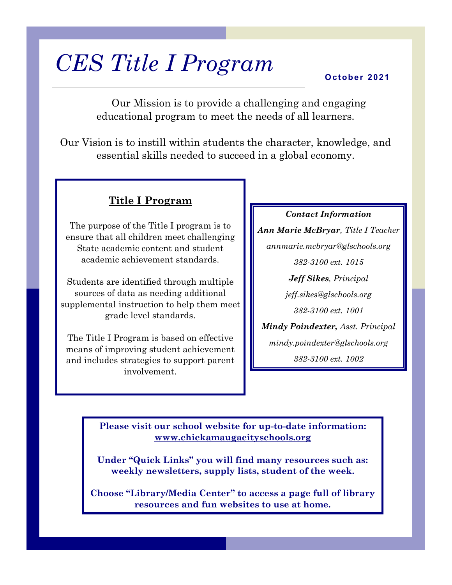# *CES Title I Program*

#### **O c t obe r 2 0 2 1**

Our Mission is to provide a challenging and engaging educational program to meet the needs of all learners.

Our Vision is to instill within students the character, knowledge, and essential skills needed to succeed in a global economy.

### **Title I Program**

The purpose of the Title I program is to ensure that all children meet challenging State academic content and student academic achievement standards.

Students are identified through multiple sources of data as needing additional supplemental instruction to help them meet grade level standards.

The Title I Program is based on effective means of improving student achievement and includes strategies to support parent involvement.

*Contact Information Ann Marie McBryar, Title I Teacher annmarie.mcbryar@glschools.org 382-3100 ext. 1015 Jeff Sikes, Principal jeff.sikes@glschools.org 382-3100 ext. 1001 Mindy Poindexter, Asst. Principal mindy.poindexter@glschools.org 382-3100 ext. 1002*

**Please visit our school website for up-to-date information: www.chickamaugacityschools.org**

**Under "Quick Links" you will find many resources such as: weekly newsletters, supply lists, student of the week.**

**Choose "Library/Media Center" to access a page full of library resources and fun websites to use at home.**